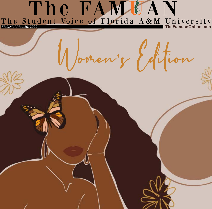## The FAMEAN The Student Voice of Florida A&M University

Women's Edition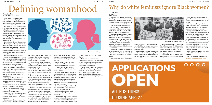Feminism is an ideology that has continued to gain more recognition over last two decades. In a more straightforward explanation, feminism is the advocacy of equal rights and opportunities for women.

As the term and its movement have grown over time, divides between the stances and opinions of the movement began to show. This is the case with "white feminism" and "minority feminism."

White feminism, as described by Rafia Zakaria, the author of "Against White Feminism," is "someone who refuses to consider the role that whiteness and the racial privilege attached to it have played and continue to play in universalizing white feminist concerns, agendas, and beliefs as being those of all feminism and all feminists."

The identity that white feminism takes on is known to suppress and minimize the voices of women of color, including Black, Latina, Asian, Native American and trans women.

nities are silenced and their issues are left unresolved, leaving many of these women to feel like they have no place in the movement at all.

As the movement grows, these commu-tion and division.



Rachel Cargle, writer and activist, talks about how white feminism, among other things, is the centering of white women in the movement which leads to the separa-

"White women get so caught up in how they feel in a moment of WOC expressing themselves that they completely vacuum the energy, direction and point of the conversation to themselves and their feelings," Cargle wrote.

This highlights one of the many ways and reasons that cause the divide of women in the movement.

All of these factors continuously go against the main ideals of the movement, speaking against the mistreatment of all women.

A first-year psychology student at FAMU, Jordan McCrary, has strong opinions about being a Black woman in the modern-day feminist movement.

"In my opinion, [Black] women are often excluded from the advancements of the feminist movement specifically," Mc-Crary said. "I still feel that white women benefit primarily from the movement and women of color are excluded from those benefits. As an African American woman, I can face multiple avenues of aggression: being Black, being a woman, etc., and most times it's like I have to choose the struggle. It's almost as if we don't count within the movement."

Many minority women feel their voices tend to be left to the side of the movement as a whole.

## Why do white feminists ignore Black women?



More women from these communi-**Click link to continue: https://rb.gy/ez1nip**

 $0000$ 

### **Cordell Jones**

### Staff Writer

What makes a woman a woman? To care, to cater, to lightly toast a child's bread on Saturday morning? The mundane practice of repetition in fulfilling the needs of others?

It is an almost cynical question shrouded in misogynistic idealism that produces nothing but closed minded cognition.

Practice makes perfect. Cross your legs, fix your hair and make sure those around you never see you without a smile. Be nice. Laugh. Speak up, but not too loud. If you don't, people will think you hate the world.

I know I won't object to that statement. Many may feel as though this perception of womanhood is dead. After 21 years of life, while simultaneously witnessing the progression of respect toward women across the world increase only a sliver, I'm here to say that this ideology is not even close to dying.

I'm surrounded by that shroud of absurdity on a daily basis. In fact, the one place I thought I would find a significantly less amount of nonsense when discussing the topic of being a woman was by joining an organization made for women, by women. Joke's on me. I was wrong.

I find the same individuals speaking on authenticity and originality pertaining to femininity continually contradicting themselves by spewing an abundance of bias; not only through words, but also through action.

Although the thought of men and women alike practicing these ideals throughout the world — specifically at my own HBCU — makes my blood boil, I believe I may have finally grasped where this self-constrained influence originates.

I won't get in too deep, but let's just say some of you folks need to unlock that childhood trauma in therapy.

So then, what is it that makes a woman a woman? Well, that answer is quite simple; be true to yourself — as corny as that sounds.

Being content with who you are, what you like, who you like, whenever, wher-



ever. It quite literally doesn't matter what you say, or what you do. Nothing can make you any less of a woman than the day you realized you were one.

I've had so many people explain the things I do wrong that don't constitute the definition of always being "a lady." What does that even mean?

Voranica Joseph, a senior psychology student at Florida A&M, believes individuality plays an important role in womanhood.

"Having the strength to be different, and not feeding into what society wants us to be [is what shapes a woman]," Joseph said. "We have endured a lot throughout history, and we as women continue to preserve and be the change we want to see in our society."

Women for generations have suffered with the concept of identity. An identity crisis has swept most millennials into a frenzy over sexual identification. This dilemma files atop the already endless combat against a societal fall into the grasp of an overbearingly patriarchal institution.

Finding one's own identity outside a professional box can be extremely

difficult, especially for women. It takes someone strong and determined to be themselves, no matter the price that needs to be paid.

Jaleesa Smith, a third-year music education student, believes in the true simplicity in the definition of a woman.

"You can't put the definition of a woman inside a box," Smith said. "It's a personal feeling."

Freedom of expression is an illusion established via social media. Some form of alter ego or persona is inevitable when establishing yourself on social media. By turning oneself into a specified facade, you automatically limit yourself to displaying that specific persona, taking away from your true identity.

It is an issue many face in this world, but like most other issues, women stand front and center with this one.

Adriana Medina, a senior music student, delves into the perspective of self-identity.

"A woman can be the biggest or smallest person in the world, but as long as she claims she's a woman, who am I to say otherwise?" Medina said. "Nobody has to

tell you who you are. I can't decide that for you."

Whether or not someone feels as though being a woman can be determined by their genitals or mindset, wholeheartedly, womanhood will never be more than what an individual makes it.

I always remind myself that Rome was not built in a day. By taking small strides toward the goal of finding ourselves in womanhood, maybe our great, great, great, grandchildren will have the freedom to be cmpletely and unapologetically authentic.

## **Kalea Sanders** Defining womanhood

### Assistant Online Editor

**Photo courtesy** of Google

**Photo courtesy** of Fordham GSS News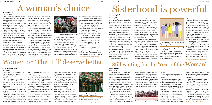Historically, the term "Year of the Woman" was formulated in the late 1960s. However, the term wasn't popularized in the media until 1992 when a wave of women complained that Anita Hill, who testified that Supreme Court nominee Clarence Thomas had been sexually inappropriate with her, was mistreated by an all-male Senate Judiciary Committee [led by Rhode Island Sen. Joe Biden].

The term was used for political references, especially during voting for state officials.

Women have created space in all areas, regardless of adversity, and have engineered change in a white male-dominated world. The music industry, politics, the medical field and many others have slowly begun to see more female representation. Historic women such as Condoleeza

Rice, who was appointed national security adviser by President George W. Bush in 2001, was the first Black woman (and the second woman ever) to hold the position. Another historic woman is the Speaker of the House, Representative Nancy Pelosi, who is the first woman to ever hold the

position.

These women and others have paved the way for others to make their own legacies.

Amanda Gorman, 24, made history last year as the youngest known inaugural poet. Gorman was 22 at the time of President Biden and Vice-President Harris' inauguration when she beautifully stole the show with her poem, "The Hill We Climb."

Although more women are breaking many barriers, there are people who do believe women have not been getting as many rights as we should.

Bethune-Cookman University graduate student and small business owner, Haedan Patterson, mentions even though

women have more rights than before, they are still mistreated no matter how hard people try to be inclusive and make the country fair.

"... Not much has changed. Women are still getting paid less than their male counterparts, not to mention women of color are getting paid even less," Patterson said. "Women are still underrepresented in government, entertainment, business, etc. It discourages other young women who look to seek their career in politics or throughout government."

According to The National Partnership for Women and Families, women working full and part-time jobs make 79% of what their male counterparts earn. Also, wom-

Behind every successful woman, there is an army of others on her team rooting for her. Many realize this early on in life with their mom at the heart of their support system, but oftentimes there is a disconnect once they enter the outside world.

The thought of being inferior kicks in and competing with other women becomes an instinct rather than uplifting one another. This goes back at least to the 1900s when women had to compete to be considered for a job. It goes back further when women would be in competition for a high-ranking husband to secure a lifestyle and protection they were prohibited to create for themselves.

Jealousy is presumed to be a woman's trait, along with the idea that women "hate" on one another because they feel as though they are subservient, but womanhood is not a monarchy; more than one queen can fit at the top.

The mindset that there can only be

one creates a barrier that stops women's progression. It is important that these myths are debunked and the narrative is reversed to shed light on the positivity that comes with sisterhood.

What everyone should understand is that women are better when they work together. Monique Jackson, a deputy director for the division of business and resource management in Washington D.C, explains the genuine relationships with the women in her life.

"I first learned about the benefits of sisterhood with my two biological sisters," Jackson said.

"That understanding of and need for sisterhood transferred into my matriculation at Bennett College – an all women's HBCU – and my initiation into one of the "divine nine" Greek sororities."

Women today are advancing and taking on more leadership roles. According to Fortune, which ranks America's largest companies, the number of women CEOs



running fortune 500 companies increased to 8.1% in 2021.

Imagine the rate that these numbers could increase by if all women in prominent positions mentored other successful women and lifted up other women to follow in their footsteps.

Supporting women-owned businesses across all industries can help as well; not just the hairstylist and eyelash techs. There are many businesses outside of the beauty realm that a lot of people do not know have women CEOs. It is common to see fathers pass down their businesses but we have to start rallying behind our mothers and help them to create generational wealth for their offspring too.

Lillian Elise, a single mother of two, says that calling the women in her life "supportive" would be an understatement.

"I've always had a tight circle of female friends in my life that I consider my sisters. Having that love from at least one other woman in your lifetime is a gift from God," Elise said.

Networking to find these connections only works if you are doing it right. For men, it is mainly about collecting business cards and sharing laughs at the dinner table. For women it is a tad more diffi-

Roe v. Wade provided hope to women around the country and provided a step forward bodily autonomy. However, in the last decade, legislation with the goal of dismantling what that case gave to women has become more frequent and more crippling. Now women are faced with an impossible problem: What do you do if access to healthcare is taken from you?

Legislation in Republican-controlled states has aimed to limit or take away access to abortion care. Florida, Oklahoma, Georgia, Texas, Idaho and others have passed bills similar in language, all criminalizing in some way those who get an abortion as early as six weeks after conceiving or those who perform the procedure. This means many clinics that have offered the procedure run the risk of facing criminal charges, in some cases, if they continue.

"The expected impact of closing clinics, of making abortion difficult to access, is huge. I think that the reality is that a lot

of times we talk about a woman's right to choose, and abortion is often framed as a choice. But from a reproductive justice framework, that's not enough," Seyi Amosu, a licensed psychologist in Atlanta, said. "Reproductive justice is like the ability to decide about family planning, decide if you want to have children, but also parent the children that you have in safe communities."

"The question isn't about choice. It's about access, because for many people the choice is irrelevant because they have no access," she added.

For many women, not having that access can be detrimental. Haylie Grammer, an adjunct professor at Dallas College in Dallas, Texas, had a late-term abortion in 2016. When she was 20 weeks pregnant, doctors found a tumor "invading her body both externally and internally," Grammer said in a blog post. After countless checkups and seeing doctors in different states, she was told her child would not make it.

The state of Texas allows abortion after 20 weeks if the pregnancy is life threatening to the mother or of the fetus has abnormalities, but after 27 weeks you cannot. So, at 25 weeks, Grammer made the decision to deliver early, knowing that she would be letting go of her baby.

However, before she could even do the heartbreaking procedure, Texas law made her go through a tumultuous experience. Her doctor had to apply for permission to

perform the C-section and Grammer had to sign documents requesting an abortion, during an already traumatic experience. Her doctor was also required to give her a pamphlet published by the State of Texas about the "consequences of abortion," detailing how she would suffer from depression and anxiety for the rest of her life and possibly become infertile.

Grammer believes that if this happened today, it would have been so much harder in an already difficult situation.

"If this situation were to happen to me today in the state of Texas, it would be impossible to get the medical care I needed," Grammer said. "I would have to leave the state of Texas in order to get the care needed."

Grammer is one of many women around the country who have had to jump through hoops in order to have an abortion. Erika Christensen is the co-director of Patient Forward, an organization

# Sisterhood is powerful

### **Naya Campbell**

Senior Writer

# A woman's choice

Make no mistake, women run "The Hill" at Florida A&M University. Of almost 9,000 students, 66 percent are women.

But despite making up such a large portion of FAMU's enrollment, women at FAMU experience many challenges and often feel silenced, unprotected and unsupported.

Women face several disparities in society when it comes to finance, health, and safety and all of these differences are seen on FAMU's campus.

Earlier this semester, freshman psychology major Kimora Williams pointed out to the Student Senate that the campus lacks easy, free access to menstrual health products even though residence halls on

campus receive deliveries of free condoms.

Many FAMU students also complain about the need for more student scholarships, especially since Black women carry up to 20% more student debt.

The biggest issue, though, lies in safety and sexism which are still present even with a majority female student body. Specifically, the female student body at FAMU believes that the institution should handle reported sexual assault cases better.

FAMU has a victim advocate program where it offers services such as crisis intervention, emotional support, safety planning, assistance filing for injunctions and other services. However, some students still feel that more can be done for women who find themselves in these unfortunate circumstances.

Ashely Laurent, president of the student organization Warriors Against Rape (WAR), said that while she loves her HBCU, the university needs improvement in supporting women who have been victims of sexual assault.

"In my opinion, they focus more on how the victim could've prevented the attack rather than focusing on the attacker, Laurent said.

"FAMU needs to take these cases more serious. It seems like they feel like women will get over these things and that the effects won't be long-lasting, but that is far from the truth. These incidents can scar

## Women on 'The Hill' deserve better

people for the rest of their lives if they're not handled properly," she added. **Click link to continue: https://rb.gy/3nv9bu**

### **Charlesalyn Preston**

### Staff Writer

### **Dejania Oliver**

### Editor-in-Chief



**Photo courtesy** of famunews.com Women dominate FAMU's campus

## Still waiting for the 'Year of the Woman'

### **Kayla Walton** Staff Writer

**Photo courtesy** of Nadia Snopek - Adobe Stock Demonstration of sisterhood and women embracing and supporting each other, feminism, unity.

**Click link to continue: https://rb.gy/iq7f7y** 

**Click link to continue: https://rb.gy/ap9crr**

**Click link to continue: https://rb.gy/cwhfmn**



**Photo courtesy** of Oliver Doullery



**Photo illustration** by Neil Jamieson for TIME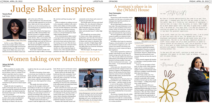On Nov. 3, 2020, Tiffany Baker became the youngest African American woman to be elected judge in the Second Judicial Circuit at 35. This was not just a huge win for Baker's law career, but a historical moment for Black women and

girls in the state of Florida.

Baker defeated her 2020 Second Judicial Circuit judge opponent by over 8,000 votes. Baker says her clean and spiritually led race for the elected position was overwhelming but an experience that she is immensely proud of.

A man who worked at the Supervisor of Elections Office informed Baker that she had 24 hours to complete missing documentation to qualify for candidacy in the election. After a conversation with Baker's mom about her campaign, he remembered Baker and went out of his way to make sure she qualified for the race. She stayed up all night to complete her paperwork and was approved to continue her campaign shortly after.

"Every time I started to doubt, God would send an angel to affirm, encourage, lift, motivate and keep me going," said Baker.

With an emphasis on making everyone in the community confident in the state's justice system, Baker currently presides over the Juvenile Delinquency and Family Law Division. According to Leoncountyfl.gov, Baker was recently appointed to serve as a Circuit Champion by Chief Judge Jonathan Sjostrom.

In her elected position, Baker started a tie program that encourages juveniles to learn how to tie a tie for five community service hours and earn three more for wearing a tie to court. She also has a collection of ties in the courtroom where defendants without ties can take one. Another one of her programs began in January 2022, where juveniles placed on probation can learn a skill or trade for

community service hours and a source of income as a part-time job.

The Florida native was born and raised in Quincy, Fla., but relocated to Miami at 12 years old after her parents divorced. After living there for a year and a half, Baker moved to Tallahassee with her father and attended Amos P. Godby High School.

Even though she was unsure about her future career, Baker attended and graduated in 2007 from the University of Miami with a Bachelor of Science degree in finance and a minor in chemistry. She became a member of Alpha Kappa Alpha Sorority, Inc., the mock trial team, and Phi Alpha Delta Law Fraternity during her undergraduate career.

# Judge Baker inspires **Tanasia Reed**

Staff Writer



Women have made tremendous strides in politics over the years, yet sexism and misogyny have kept the presidency an exclusive home for men.

In 2020, a record number of six womwh rime at proting wow outsets years ago, I stepped onto the Hill'and was ready to take on the worte. Now, as I finish my tast semester of undergrad, I reatize that in a way i did. My wortd, at teast. FAMU taught me so much apout myself and I was able to grow into a woman that I am proud of. This past year, I've had the pleasure to continue my growth as the Editor-in-chief of The Famuan and A&M University nursing student Kirah y nas it has been the greatest experience.

To my staff, thank you for this wonderful year of each and every one of you. The growth you all have  $i$  bectations. The EIC is not the most important person on staff. Every single one of us made sacrifices in order to create content we are proud of, and I am so grateful to you all I also want to thank Professor Blackburn for his patience and support throughout this journey. The Famuan nothing without him. one vote for a female candidate would displayed continuously amazed me and broke every one of my

To the next EIC and staff, continue to work hard and represent this paper in the best light as always. I know you vote may puper an excu inter an Brene: cominger

Love you all!

 $\blacksquare$ 

 $\sim$ 

All 46 United States presidents have been male. This male dominance is not a result of a lack of political activity from women. In fact, in recent years, women have obtained more positions on local, state and national levels of government.

The most significant strides made by women in politics are reflected in both the executive and legislative branches of government.

According to the Center for American Progress, a record number of 142 women were elected to Congress in 2020, 118 women were elected to the House and there are over 2,000 women serving as state legislators.

Nancy Pelosi regained her position as speaker of the House in 2019, after previously serving in the role from 2007 to 2011. This not only added to her historical achievement of becoming the first woman elected to be House speaker, but made her the second person in 60 years — and first woman — to be entrusted with this position twice.

> $\mathbf{U}$  is statement to the statement rings true especial- $\mathbf{u}$  $\mathbf{W}$  $\blacksquare$ were elected into each of the into each of the into each of the into each of the into each of the into each of by their constituents. Despite sexist "electability" reduces they were clearly they were elected, making the "electability" argu-

> $\sim$ ing belief that women cannot secure votes for the president discouraged them from

"I remember Elizabeth Warren being warren bei  $\mathbf{A}$  is the points. I didn't think my  $\mathbf{A}$  $\mathcal{L}$  is a said  $\mathcal{L}$ 

In the same year, Alexandria Ocasio Cortez became the youngest woman ever elected to Congress, Deb Haaland and Sharice Davids became the first Native American women elected and Rashida Talib and Ilhan Omar, became the first Muslim women elected.

Kamala Harris was elected as the U.S. vice president in 2020, making her the first woman — and first woman of color — to serve in this position. With Harris serving as vice president and Pelosi as speaker of the House, this is the first time in American history that the next two people in the presidential line of succession are women.

The increase of gender diversity within American politics should indicate that Americans are ready for a woman leader, but many remain skeptical about the idea of a woman president.

A 2020 article published by The Conversation argued that members of the legislative branch are typically positioned to rise to higher levels of government. However, despite having obtained powerful positions in government, this has not been the case for women.

Some research suggests the hesitancy regarding a woman president stems from voters'

worry over the perception of their peers. In other words, while someone might vote for a woman president, a negative attitude toward female leadership from a neighbor would ultimately deter them from doing so.

A USA Today article read, "Seventy-one percent say they personally would be comfortable with a female president, but just 33% say their neighbors would be  $-$  a telling and perhaps more candid measure."

However, this seems like an attempt to disguise their own discomfort regarding female leadership as concern for their neighbor and shift blame from themselves. After all, if these individuals truly wanted a female president, they certainly had the opportunity to elect one at the time the USA Today poll was taken.

TO THE FAMUAN

Americans had the opportunity to

Vote Run Lead founder Erin Vilardi  $\left( \frac{n}{2} \right)$ ris element (Vover Politico, "Electability and its coded sexism

With this degree, she thought of open-**Click link to continue: https://rb.gy/loudas**

and misogyny still hold strong in 2020."

### A woman's place is in the (White) House

### **Toni Christopher**

### Staff Writer



**Photo courtesy** of www.huffpost.com For the first time in American history, two women are in the line of presidential succession.

When you think of a member of the Florida A&M University's Marching 100, do you picture a man or a woman? If you picture a man there may be a reason.

The music industry is male dominated. Statistics prove that men make up 60.4% of all music related occupations.

FAMU's campus is not an exception seeing that 63.6% percent of music majors are men.

Despite the lack of recognition as leaders in the band, there was one woman who superseded the standard and proved she was capable. Cori Bostic became the first female drum major in the Marching 100's 72-year history.

Bostic's love of music and her goal to become a drum major was influenced heavily by her parents, both FAMU Marching 100 alumni, who she says

taught her that she can reach any goal she strives for.

The path to becoming a drum major is not an easy one, let alone for a woman. Bostic said other women have tried and failed, but the support and mentoring of these women, and other women leaders in the band, were what inspired her to keep going.

"The people who tried out before me gave me the strength, wisdom and knowledge to be able to try out again, not give up, and come back even stronger," Bostic said. "When those [young] girls are looking at me and saying I can do it, it's because I'm looking at the women who came before me who tried to do the same thing and got so close and didn't make it."

Though it took several years for a woman to hold the highest title in FAMU's band, Bostic says it is not because women were not thought worthy for the position.

Band is known for the family style bonds and close-knit community. Everyone is expected to be accountable and uplift each other to keep that "one band, one sound" atmosphere.

A changing demographic within the Marching 100 may have also contributed to the achievement and made these bonds that much stronger for Bostic.

Bostic noticed by her senior year, more and more women were joining the band, allowing for sister-like bonds and a sense of community for the growing number of women in this space. In her own experience, Bostic remembers distinguished female leaders that followed her and pushed her along her own journey.

Members like Gabrielle Farmer and

Ariana Montgomery were key role models for Bostic, her high school section leader and drum major who also played for the Marching 100, were a crucial part of the skill and discipline she developed while at **Click link to continue: https://rb.gy/kncgcq**

## Women taking over Marching 100

### **Jalynn McDuffy** Staff Writer

**Photo courtesy** of Judge Tiffany Baker



**Photo courtesy** of Cori Bostic Cori Bostic, the first female drum major at FAMU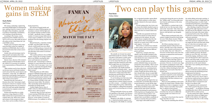The melodic art of music has united and divided people for centuries. Whether it be genre versus genre or artist versus artist, music lovers everywhere will go to war for music that they grew up with, rappers from their hometown and songs that brought them out of dark places.

An ongoing argument in the music community is the double standard between male and female artists — specifically, why are women disproportionately criticized for writing songs about disrespecting men and having sex when men can freely do the same thing?

It's not breaking news that some male artists have consistently produced hit songs that have content related to having sex with a woman — or multiple women while treating them poorly, undermining their intelligence, calling them derogatory names and even promoting acts of sexual abuse.

Perhaps both kinds of lyrics are unethical regardless of the gender, but listeners are the ones who keep songs like these in high demand.

Misogyny is the dislike of, contempt for, or ingrained prejudice against women. Misogynoir is the dislike of, contempt

# **Two can play this game**

for, or ingrained prejudice against Black women. Both continue to create obstacle after obstacle for the music industry girlies.

Up and coming artist, Izzy Joven, says one reason this double standard causes so much controversy that the positive effects these lyrics have on women makes men angry.

"l feel like men genuinely feel threatened by the amount of women that are coming out in the industry. My male friends always complain about the City Girls, and how they're boosting girls' heads for no reason, but it's like so are the male rappers," Joven said.

Britney Spears performed with a live serpent wrapped around her body during her 2001 Video Music Awards (VMAs) performance of her hit song "I'm a Slave  $\Lambda$  U."

Male artists are allotted more latitude in their artistry, such as more lyrical freedom and exploration between different genres and beats.

Tajiah Gary, a female artist from Atlanta, says the double standard in the music industry is driven by intimidation and it bleeds into more components of the craft other than just lyrics.

"I am a very girly person, but my artistry definitely brings out masculine perspectives of my identity. I like to rap or sing about what's real and in a lot of cases, topics such as sex, scamming [men], females getting money is real for a lot of women. People also tell me all the time that I should either choose to make R&B music or rap music, but they're not going to tell any male artist that he can't find that in between," Gary said.

An artist's gender also depicts the way in which their record label allows them to present themselves on and off the stage.

Women such as Katy Perry, Lady Gaga, Nicki Minaj and Britney Spears have broken barrier after barrier with their beyond-entertaining live performances. Following their jaw dropping shows, they were expected to keep up these "wow factor" personas to keep fans intrigued and give their record labels a multitude of options to monetize their personalities.

Lady Gaga's wild outfits became a

running joke during the past two decades. Her "bubble outfit" is an honorable mention from her performance at the 2009 House of Blues.

Nicki Minaj is a constant topic in the media for her over-the-top music videos such as the "Anaconda'' video where she had a whole lotta snakes and a whole lotta dancers with big butts to go alongside them.

All of these amazing women are remarkably talented without their wow factors. And after years of the costumes, music videos, dramatic performances, and yes, the snakes, they were "allowed" to focus less on these factors and evolve into musicians recognized first and foremost for their music.

Nicki still gives us everything and more in her music videos and Gaga comes in nothing less than stunning at all her appearances. However, in recent years, Gaga has not been correlating her music with her outfits and Nicki has been staying true to her flow without shocking her fans with anything more provocative than they've already seen.

Female artists are pressured and even sometimes required to create outstanding rapport among the public as to why they should bother with their existence as an aspiring artist.

There are strict guidelines in the music industry for female artists. Whether these guidelines are clear or imaginary is up for debate. Women must follow these guidelines in efforts to just be heard.

Sing well, but sing differently than everybody else, but not too differently because people won't listen if it's too unfamiliar.

Once they've been heard, they must be larger than life to be seen.

They must do something that will have

the media talking and people watching. A dress made out of meat, a bright pink wig with matching pumps, an entire Candy Land themed performance, and probably something to do with a goddamn snake.

After checking a long list of boxes and making all the right impressions (and a few bad ones for the tabloids), women will finally have the leash of the music industry loosened inch by inch. They will then be allowed to maneuver through the field with more autonomy.

Highlighting the over-the-top measures that women are subjected to does not negate the hard work that male artists put in. It also does not insinuate male artists have no personality, alter egos, or stage presence.

Kanye's cockiness and Harry Styles' whimsical wardrobe are prevalent factors in their celebrity personas. But Styles' clothes are one of his only wow factors beyond his singing. And Kanye's cockiness and disregard for others (paparazzi, Stormi, and Taylor Swift to name a few), says more about the death grip that the patriarchy has on the music industry more than it says anything about Kanye's character.

The public and the industry allow Kanye to wreak havoc upon anybody he pleases because his douchebag persona complements the behavior.

Rihanna coined herself a "Good Girl Gone Bad" back in 2007, but it's safe to say that she would not have been allotted the space to publicly humiliate whoever she pleased with no consequences just because of an album's title.

This argument can be summarized into "what's good for the goose is good for the gander," — an old phrase meaning something that what is OK for one person should be OK for another person.

Up and coming male rapper, DKOMX, 18, agrees that women are judged more harshly in the industry, but regardless of the misogyny they face, in the coming

## Women making gains in STEM

The science, technology, engineering and math [STEM] fields are dominated by men, making it hard for women to break through in these disciplines, especially in positions of leadership. Nonetheless, we're starting to break that barrier.

According to The Census, women jumped from 8% of STEM workers in 1970 to 27% in 2019. Men made up 52% of all workers in the United States but 73% of all STEM workers.

Despite years of progress and continuous proof that women are capable of positions in STEM fields, there is still a preconceived notion that certain careers are for men.

Gender roles and stereotypes tend to shape people's perception about what men and women should do in households and even careers.

Maxine Jones, director of the women's studies program at Florida State University, believes it is necessary for students to see representations of themselves in all fields.

"Male students need to know that they can become nurses and female students need to know that they can be doctors and researchers," Jones said. "It is difficult to break deep rooted gender-based generational and cultural traditions and biases of what women can do and be."

Research from the University of Houston shows that "stereotypes of girls having lower interest in computer science and engineering than boys are formed as early as six and cause gender disparities in motivation for computer science and novel activities."

Women and minorities as a whole experience a huge disparity in STEM fields and the lack of representation can continue that cycle. When more women and women of color progress in these areas, there can be an influx of ideas and fresh perspectives.

The amount of female faculty and professors in many STEM programs can sometimes contrast with the high number of female students enrolled in them. At FAMU, specifically, there is a higher number of women in many fields such as certain majors in STEM. In 2019, 82% of graduates from the biology program were women.

Miracle Kennerly, a chemistry student at FAMU, says that FAMU and other schools would benefit from more Black women as STEM professors. Kennerly has had only two female STEM professors but says that their warm nature is necessary for classrooms.

"Hire quality professors who are Black women, women who are going to inspire girls to use STEM to monopolize their career and break into new markets," Kennerly said. "I learned that I could use chemistry to create natural hair care products. That's why it's my major. I saw a way to help my community through the things that were taught in high school from a Black woman."

While disparities are still evident, progress is definitely being made. In 2018, FAMU launched the FAMU ADVANCE Institutional Transformation Initiative with the goal of improving the campus climate for women faculty in STEM, social, and behavioral science fields. The initiative offers mentorship and development opportunities for female faculty.

Cynthia Hughes Harris, dean of FAMU's School of Allied Health Sciences, believes there will be progress.

"In general, there are more and more women entering STEM fields and it may take a while for them to rise to the top. However, as the number of women in STEM increases, I'm confident we will see more women in higher academic positions, including dean and beyond," she

 $w_{\text{max}}$ they just need to be given the chance.

**LMISTY COPELAND** 

2.MAYA ANGELOU

**3. ANGELA DAVIS** 

**4.MARY MCLEOD** 

**5. MICHELLE OBAMA** 

**BETHUNE** 

said.

AMERICAN POLITICAL **ACTIVIST, PHILOSOPHER.** PROFESSOR, AND AUTHOR

\*\*\*\*\*\*\*\*\*\*\*\*\*\*\*\*\*\*\*\*\*\*\*\*\*\*\*\*\*

AMERICAN LAWYER, **AUTHOR, AND FIRST** AFRICAN AMERICAN FIRST **LADY** 

**AMERICAN POET, CIVIL RIGHTS ACTIVIST, AND MEMOIRIST** 

AMERICAN EDUCATOR. **WOMANIST, CIVIL RIGHTS ACTIVIST.** PHILANTHROPIST, AND **HUMANTARIAN** 

THE FIRST AFRICAN **AMERICAN FEMALE PRINCIPAL DANCER IN AMERICAN THEATRE BALLET** 





### long way to go. With time, more women  $\sqrt{N}$  reaches in STEM and  $\sqrt{N}$ pave the way for others. It's apparent that more institutions can mutually benefit

A

в

**FAMUAN** 

### **Kayla Butler**

### Staff Writer

Online Editor



**Photo courtesy** of Gary's Instagram @tajiahgary Artist Taijah Gary.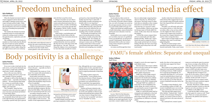If you were to take a look back into the early 2000s, you'd see the ideal body type for a woman: a small waist, small legs, small arms. Overall, a slim figure.

Now, in the year 2022, that has seemed to change, but not to a more realistic, relatable or diverse standard.

Although we still see this slim figure in modern society — especially in the fashion industry — the stereotypical ideal image for a woman on social media is large breasts, a small waist, wide hips, thick thighs, and a large butt.

This "hourglass" shape has been around for years, but in the last couple of years it has been prioritized and idolized in social media culture.

You may think that straying away from the unnaturally skinny body type is a step in the right direction, but argumentatively, praising a specific body type in general

can cause the same issues for women as it has in the past — especially one that is unrealistic for most.

Unfortunately, this creates no "in between" for women with natural bodies to feel comfortable and accepted.

Social media's portrayal of the hourglass body type has young women wanting to achieve the typical influencer and celebrity Kim Kardashian shape because of how it is glorified.

Young women all around the world have taken it upon themselves to achieve this look with plastic surgeries, like Brazilian butt lifts (BBLs). This market that has seen exponential growth since 2020.

According to Business Insider, "In 2020, surgeons performed 40,000 butt augmentation procedures that brought in \$140 million worth of revenue … the number of butt augmentation surgeries

increased 90.3% between 2015 to 2019." However, this new "look" is not the only changing beauty norm.

Another popular trend that has been growing in popularity is fuller, softer

lips. Although this one is more common among women of color, especially those of African descent, it is still one that women look to surgical professionals to help them attain.

> According to Omari Rasheed, a first year psychology student at FAMU, the women's basketball team is not receiving the same packed pit as the men's team.

According to plastic surgeon Dr. George Sanders, "recent statistics from the American Society of Plastic Surgeons reveal that 27,000 lip augmentation procedures were performed last year." This revealed that a lip augmentation procedure was performed nearly every 20 minutes.

Fashion and beauty industries take advantage of the popular trends created by society and capitalize on them in marketing and producing their products.This can cause women to change their looks to what they feel "acceptable" and what is seen as "beautiful" by society.

In 1972, Title IX of the Education Amendments was passed to ensure in part that women and men participating in athletics get an equal opportunity. Yet 50 years later, women's athletic teams still

struggle to receive the same support as male athletic teams.

Data has shown that women's athletic teams across the country get less support than men's athletic teams.

Is the same true for with Florida A&M's athletic department?

FAMU has a total of eight women's teams, including a bowling team that competed in the Southwestern Athletic Conference round-up and a volleyball team that won the SWAC championship.

Although FAMU has a plethora of teams that are all accomplishing noteworthy things, the women's teams are not receiving the amount of support they should be receiving on game day.

FAMU is a school that prides itself on community and emphasizes a close knit "FAMULY" feel, but freshman tennis player Sierra Sandy says she experiences something very different as a female athlete.

"We definitely get support over social

media, but when we have games and events that same support isn't there," Sandy said.

Men's teams on our campus are heavily supported, from baseball to football and everything in between. FAMU students love to pack the pit alongside the "Incomparable Marching 100" in Al Lawson to get the basketball players hyped and ready to send the opponent home with a loss, so why don't we see this when the women's basketball team plays before the men?

"The team gets little support from fellow Rattlers," Rasheed said. "I believe it is due to the stereotype of being less athletic, our women's teams are just as talented and deserve the same amount of support."

On a national level, women's sports

teams are receiving the same low percentage of news coverage as they did four decades ago. The most recent study on this matter shows that coverage of women's sports on ESPN and other major news sources is at an all time low of 5.4 percent.

Although this lack of support is an issue all over the nation, we have to make change in our community first. As FAMU students, faculty and staff, we have to start showing up for our women's teams. They deserve the same consistent support that we show our men's teams.

Recently, Thai Floyd, a FAMU alumna and sports journalist, tweeted on what she hopes to see in the near future for women's athletics on the HBCU level.

"I wish that the HBCU All-Star Game also had a game for women as well," Floyd said. "There are so many great players that deserve the platform and exposure," Floyd said.

When the feminist movement started, women engaged in intense discussion and sought to abandon social norms, earn respect and gain political rights. Today, the movement has transformed to include physical liberation and women are finding new ways of breaking from patriarchal standards.

The modern-day feminist movement is gaining traction on social media and women are seeking sexual revolution through discussion, exploration and critical thinking.

The confidence and control women demanded over their bodies heavily affected the role of women in society and their ability to speak up for themselves. In the early fight for women's rights, things like the right to choose and to use contracep-



tives like birth control allowed women to practice the same sexual freedom as men.

With the increased access to Planned Parenthood and other health clinics, women gained a voice and resources to

deal with their sexual lives freely.

Women everywhere are now able to easily consume information from other women and professionals about their experiences, bodies, sexuality and thinking. With various social media apps like Reddit, Instagram, TikTok, Twitter, Youtube or Twitch, there's a special community for everyone.

### Body positivity is a challenge **Jazlen Patrick**

Argie Poulias, a psychotherapist and life coach in Florida, believes that the internet allows the conversation about sex to be less taboo.

"Young people have grown up really confused about the role of sex and feel like they have fit in with what society tells them about sex," she said. "There are things like religious views and misogynistic views that make sexuality for women

portrayed as a bad, shameful thing, that frankly men don't have to deal with. I think healthy sexuality and getting comfortable with it is very important."

Noella Williams, a graduating senior at Florida A&M University, agrees that the internet has heavily influenced the way she approaches discussions and understandings of her sexuality and identity.

"Social media encouraged me to feel open to having discussions revolving [around] my sexuality and gender identity," Williams said. "For example, my TikTok algorithm tends to place Black and queer creators onto my FYP that are creating content that revolves around conversations about queer identity, sexual liberation and navigating your sexuality."

# Freedom unchained

### **Kyla Hubbard**

Lifestyles Editor

### Opinions Editor

**Click link to continue: https://rb.gy/xfoagg** 

## FAMU's female athletes: Separate and unequal



Social media has taken society by storm. According to a survey conducted by University of Nevada's School of Medicine, over 90% of teenagers use social media and approximately 75% have at least one social media profile by the age of 17.

While social media has enabled people to build relationships, express themselves and become more educated, it also has downsides.

Social media is not as much of a hobby as it was before, but more of a guidebook to how you should look, act and perceive yourself. Unfortunately, this has had a detrimental effect on the way women young women and girls in particular view themselves.

As women scroll through their feed,

they are unknowingly comparing themselves to what they see, affecting their self-esteem. This leads women to adopt traits that are unhealthy as they compare themselves to unrealistic beauty standards that they are exposed to online.

Precious Robles, a third-year pre-physical therapy major at Florida A&M University, recalls a time where she witnessed this happen.

"I do feel like women compare themselves to social media and what other females look like," Robles said. "I had a friend who used to compare herself to other people and she had a lot of issues dealing with that, but I have seen it happen before and it always has to do with social media."

Another study done by behavioral scientist Clarissa Silva suggests that 60 percent of people using social media reported that it has impacted their self-esteem in a negative way.

Nowadays, you will rarely catch someone posting a picture or video that does not utilize a filter or has not been edited even the slightest bit. More and more women want to appear just as perfect as the women they compare themselves to, and fear others seeing their flaws.

Some women no longer bother to post anything as they want to avoid being judged altogether.

The idea of women trying to meet unrealistic beauty standards even goes beyond social media. Today, some women

# The social media effect

### **Jaelen Patrick**

Opinions Editor

won't dare leave the house without make-**Click link to continue: https://rb.gy/ijjctz**

**Sydney Bellamy** Staff Writer

**Click link to continue: https://rb.gy/g58eaz**



**Photo courtesy** of dailyillini.com

**Photo courtesy** of Womanizer Toys|Unsplash Women are turning to social media to enhance their sexuality.



**Photo courtesy** of Adobe Stock Body positivity, woman looking at herself in the mirror.



**Photo courtesy** of @famu\_softball and @famuathletics FAMU Softball Team